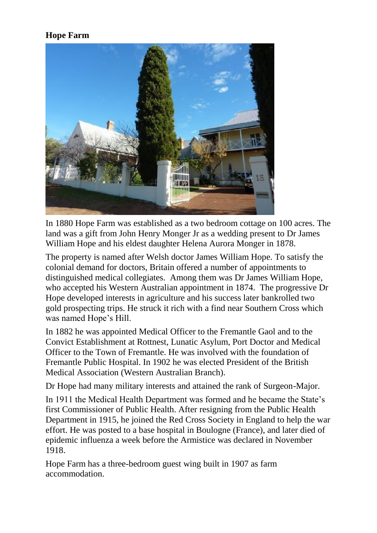## **Hope Farm**



In 1880 Hope Farm was established as a two bedroom cottage on 100 acres. The land was a gift from John Henry Monger Jr as a wedding present to Dr James William Hope and his eldest daughter Helena Aurora Monger in 1878.

The property is named after Welsh doctor James William Hope. To satisfy the colonial demand for doctors, Britain offered a number of appointments to distinguished medical collegiates. Among them was Dr James William Hope, who accepted his Western Australian appointment in 1874. The progressive Dr Hope developed interests in agriculture and his success later bankrolled two gold prospecting trips. He struck it rich with a find near Southern Cross which was named Hope's Hill.

In 1882 he was appointed Medical Officer to the Fremantle Gaol and to the Convict Establishment at Rottnest, Lunatic Asylum, Port Doctor and Medical Officer to the Town of Fremantle. He was involved with the foundation of Fremantle Public Hospital. In 1902 he was elected President of the British Medical Association (Western Australian Branch).

Dr Hope had many military interests and attained the rank of Surgeon-Major.

In 1911 the Medical Health Department was formed and he became the State's first Commissioner of Public Health. After resigning from the Public Health Department in 1915, he joined the Red Cross Society in England to help the war effort. He was posted to a base hospital in Boulogne (France), and later died of epidemic influenza a week before the Armistice was declared in November 1918.

Hope Farm has a three-bedroom guest wing built in 1907 as farm accommodation.